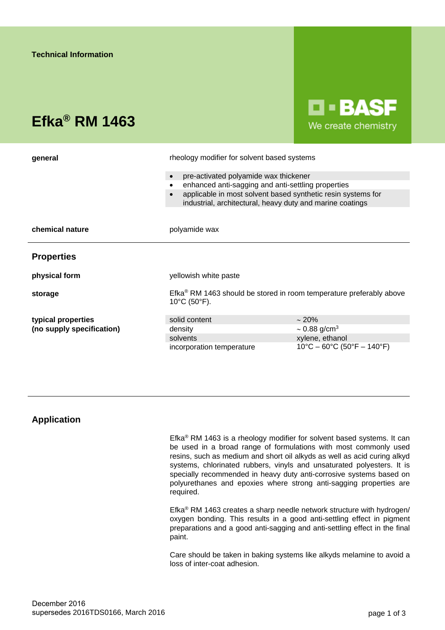# **Efka® RM 1463**

**D-BASF** We create chemistry

| general                   | rheology modifier for solvent based systems                                                                               |                                                                       |
|---------------------------|---------------------------------------------------------------------------------------------------------------------------|-----------------------------------------------------------------------|
|                           | pre-activated polyamide wax thickener                                                                                     |                                                                       |
|                           | enhanced anti-sagging and anti-settling properties                                                                        |                                                                       |
|                           | applicable in most solvent based synthetic resin systems for<br>industrial, architectural, heavy duty and marine coatings |                                                                       |
|                           |                                                                                                                           |                                                                       |
| chemical nature           | polyamide wax                                                                                                             |                                                                       |
| <b>Properties</b>         |                                                                                                                           |                                                                       |
| physical form             | yellowish white paste                                                                                                     |                                                                       |
| storage                   | Efka <sup>®</sup> RM 1463 should be stored in room temperature preferably above<br>$10^{\circ}$ C (50 $^{\circ}$ F).      |                                                                       |
| typical properties        | solid content                                                                                                             | $\sim 20\%$                                                           |
| (no supply specification) | density                                                                                                                   | $\sim 0.88$ g/cm <sup>3</sup>                                         |
|                           | solvents                                                                                                                  | xylene, ethanol                                                       |
|                           | incorporation temperature                                                                                                 | $10^{\circ}$ C – 60 $^{\circ}$ C (50 $^{\circ}$ F – 140 $^{\circ}$ F) |

## **Application**

Efka® RM 1463 is a rheology modifier for solvent based systems. It can be used in a broad range of formulations with most commonly used resins, such as medium and short oil alkyds as well as acid curing alkyd systems, chlorinated rubbers, vinyls and unsaturated polyesters. It is specially recommended in heavy duty anti-corrosive systems based on polyurethanes and epoxies where strong anti-sagging properties are required.

Efka® RM 1463 creates a sharp needle network structure with hydrogen/ oxygen bonding. This results in a good anti-settling effect in pigment preparations and a good anti-sagging and anti-settling effect in the final paint.

Care should be taken in baking systems like alkyds melamine to avoid a loss of inter-coat adhesion.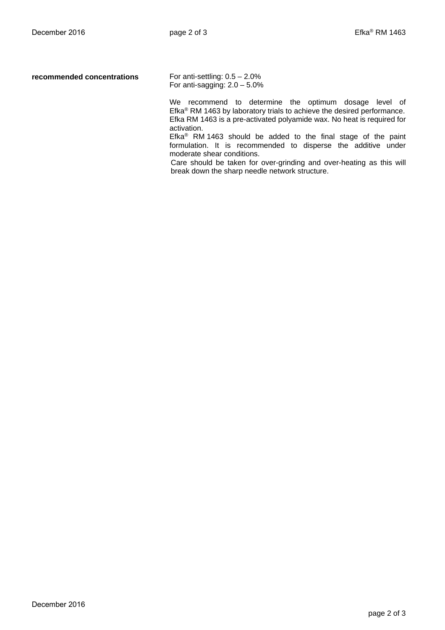**recommended concentrations** For anti-settling: 0.5 – 2.0%

For anti-sagging:  $2.0 - 5.0\%$ 

We recommend to determine the optimum dosage level of Efka® RM 1463 by laboratory trials to achieve the desired performance. Efka RM 1463 is a pre-activated polyamide wax. No heat is required for activation.

Efka® RM 1463 should be added to the final stage of the paint formulation. It is recommended to disperse the additive under moderate shear conditions.

Care should be taken for over-grinding and over-heating as this will break down the sharp needle network structure.